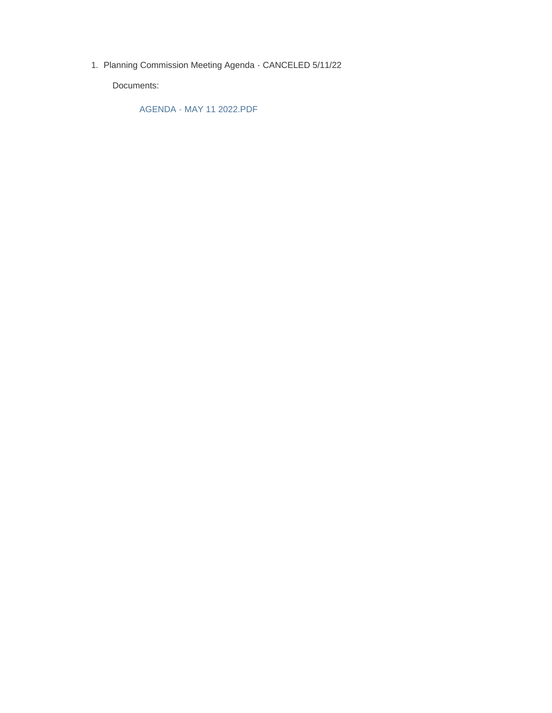1. Planning Commission Meeting Agenda - CANCELED 5/11/22

Documents:

AGENDA - MAY 11 2022.PDF